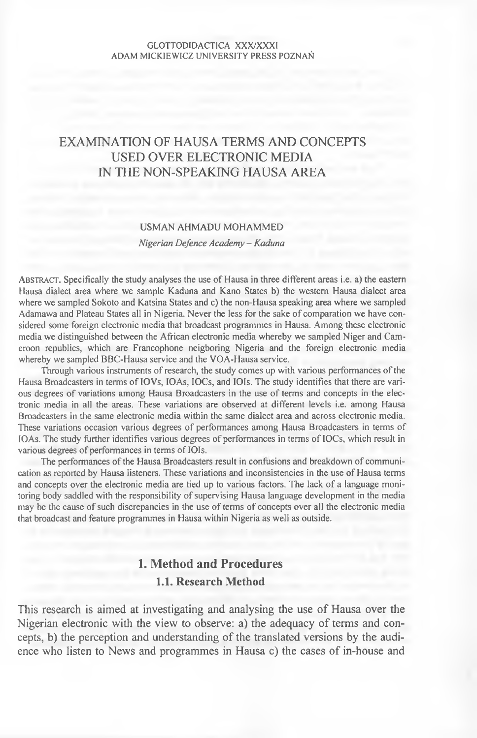## EXAMINATION OF HAUSA TERMS AND CONCEPTS USED OVER ELECTRONIC MEDIA IN THE NON-SPEAKING HAUSA AREA

#### USMAN AHMADU MOHAMMED

*Nigerian Defence Academy - Kaduna*

AB STRACT. Specifically the study analyses the use of Hausa in three different areas i.e. a) the eastern Hausa dialect area where we sample Kaduna and Kano States b) the western Hausa dialect area where we sampled Sokoto and Katsina States and c) the non-Hausa speaking area where we sampled Adamawa and Plateau States all in Nigeria. Never the less for the sake of comparation we have considered some foreign electronic media that broadcast programmes in Hausa. Among these electronic media we distinguished between the African electronic media whereby we sampled Niger and Cameroon republics, which are Francophone neigboring Nigeria and the foreign electronic media whereby we sampled BBC-Hausa service and the VOA-Hausa service.

Through various instruments of research, the study comes up with various performances of the Hausa Broadcasters in terms of IOVs, IOAs, IOCs, and IOIs. The study identifies that there are various degrees of variations among Hausa Broadcasters in the use of terms and concepts in the electronic media in all the areas. These variations are observed at different levels i.e. among Hausa Broadcasters in the same electronic media within the same dialect area and across electronic media. These variations occasion various degrees of performances among Hausa Broadcasters in terms of IOAs. The study further identifies various degrees of performances in terms of IOCs, which result in various degrees of performances in terms of IOIs.

The performances of the Hausa Broadcasters result in confusions and breakdown of communication as reported by Hausa listeners. These variations and inconsistencies in the use of Hausa terms and concepts over the electronic media are tied up to various factors. The lack of a language monitoring body saddled with the responsibility of supervising Hausa language development in the media may be the cause of such discrepancies in the use of terms of concepts over all the electronic media that broadcast and feature programmes in Hausa within Nigeria as well as outside.

# **1. Method and Procedures 1.1. Research Method**

This research is aimed at investigating and analysing the use of Hausa over the Nigerian electronic with the view to observe: a) the adequacy of terms and concepts, b) the perception and understanding of the translated versions by the audience who listen to News and programmes in Hausa c) the cases of in-house and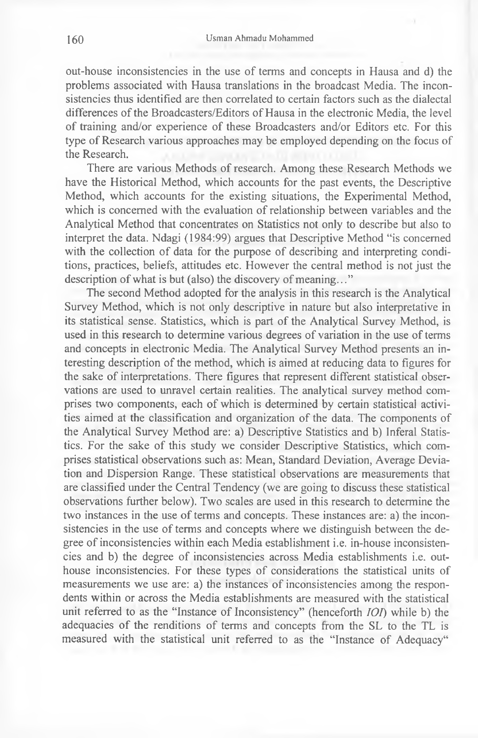out-house inconsistencies in the use of terms and concepts in Hausa and d) the problems associated with Hausa translations in the broadcast Media. The inconsistencies thus identified are then correlated to certain factors such as the dialectal differences of the Broadcasters/Editors of Hausa in the electronic Media, the level of training and/or experience of these Broadcasters and/or Editors etc. For this type of Research various approaches may be employed depending on the focus of the Research.

There are various Methods of research. Among these Research Methods we have the Historical Method, which accounts for the past events, the Descriptive Method, which accounts for the existing situations, the Experimental Method, which is concerned with the evaluation of relationship between variables and the Analytical Method that concentrates on Statistics not only to describe but also to interpret the data. Ndagi (1984:99) argues that Descriptive Method "is concerned with the collection of data for the purpose of describing and interpreting conditions, practices, beliefs, attitudes etc. However the central method is not just the description of what is but (also) the discovery of meaning..."

The second Method adopted for the analysis in this research is the Analytical Survey Method, which is not only descriptive in nature but also interpretative in its statistical sense. Statistics, which is part of the Analytical Survey Method, is used in this research to determine various degrees of variation in the use of terms and concepts in electronic Media. The Analytical Survey Method presents an interesting description of the method, which is aimed at reducing data to figures for the sake of interpretations. There figures that represent different statistical observations are used to unravel certain realities. The analytical survey method comprises two components, each of which is determined by certain statistical activities aimed at the classification and organization of the data. The components of the Analytical Survey Method are: a) Descriptive Statistics and b) Inferal Statistics. For the sake of this study we consider Descriptive Statistics, which comprises statistical observations such as: Mean, Standard Deviation, Average Deviation and Dispersion Range. These statistical observations are measurements that are classified under the Central Tendency (we are going to discuss these statistical observations further below). Two scales are used in this research to determine the two instances in the use of terms and concepts. These instances are: a) the inconsistencies in the use of terms and concepts where we distinguish between the degree of inconsistencies within each Media establishment i.e. in-house inconsistencies and b) the degree of inconsistencies across Media establishments i.e. outhouse inconsistencies. For these types of considerations the statistical units of measurements we use are: a) the instances of inconsistencies among the respondents within or across the Media establishments are measured with the statistical unit referred to as the "Instance of Inconsistency" (henceforth *IOI)* while b) the adequacies of the renditions of terms and concepts from the SL to the TL is measured with the statistical unit referred to as the "Instance of Adequacy"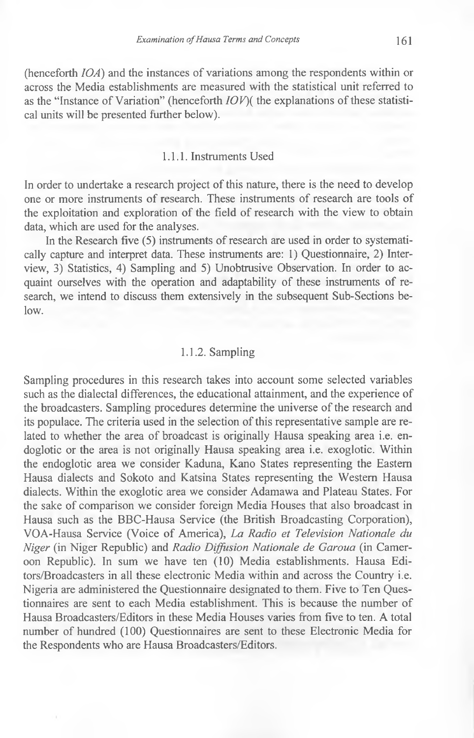(henceforth *IOA*) and the instances of variations among the respondents within or across the Media establishments are measured with the statistical unit referred to as the "Instance of Variation" (henceforth *IOV)(* the explanations of these statistical units will be presented further below).

### 1.1.1. Instruments Used

In order to undertake a research project of this nature, there is the need to develop one or more instruments of research. These instruments of research are tools of the exploitation and exploration of the field of research with the view to obtain data, which are used for the analyses.

In the Research five (5) instruments of research are used in order to systematically capture and interpret data. These instruments are: 1) Questionnaire, 2) Interview, 3) Statistics, 4) Sampling and 5) Unobtrusive Observation. In order to acquaint ourselves with the operation and adaptability of these instruments of research, we intend to discuss them extensively in the subsequent Sub-Sections be $low$ .

#### 1.1.2. Sampling

Sampling procedures in this research takes into account some selected variables such as the dialectal differences, the educational attainment, and the experience of the broadcasters. Sampling procedures determine the universe of the research and its populace. The criteria used in the selection of this representative sample are related to whether the area of broadcast is originally Hausa speaking area i.e. endoglotic or the area is not originally Hausa speaking area i.e. exoglotic. Within the endoglotic area we consider Kaduna, Kano States representing the Eastern Hausa dialects and Sokoto and Katsina States representing the Western Hausa dialects. Within the exoglotic area we consider Adamawa and Plateau States. For the sake of comparison we consider foreign Media Houses that also broadcast in Hausa such as the BBC-Hausa Service (the British Broadcasting Corporation), VOA-Hausa Service (Voice of America), *La Radio et Television Nationale du Niger* (in Niger Republic) and *Radio Diffusion Nationale de Garoua* (in Cameroon Republic). In sum we have ten (10) Media establishments. Hausa Editors/Broadcasters in all these electronic Media within and across the Country i.e. Nigeria are administered the Questionnaire designated to them. Five to Ten Questionnaires are sent to each Media establishment. This is because the number of Hausa Broadcasters/Editors in these Media Houses varies from five to ten. A total number of hundred (100) Questionnaires are sent to these Electronic Media for the Respondents who are Hausa Broadcasters/Editors.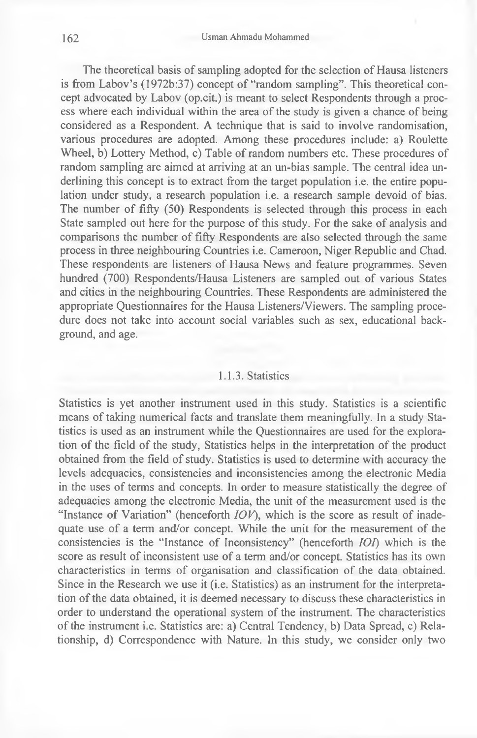The theoretical basis of sampling adopted for the selection of Hausa listeners is from Labov's (1972b:37) concept of "random sampling". This theoretical concept advocated by Labov (op.cit.) is meant to select Respondents through a process where each individual within the area of the study is given a chance of being considered as a Respondent. A technique that is said to involve randomisation, various procedures are adopted. Among these procedures include: a) Roulette Wheel, b) Lottery Method, c) Table of random numbers etc. These procedures of random sampling are aimed at arriving at an un-bias sample. The central idea underlining this concept is to extract from the target population i.e. the entire population under study, a research population i.e. a research sample devoid of bias. The number of fifty (50) Respondents is selected through this process in each State sampled out here for the purpose of this study. For the sake of analysis and comparisons the number of fifty Respondents are also selected through the same process in three neighbouring Countries i.e. Cameroon, Niger Republic and Chad. These respondents are listeners of Hausa News and feature programmes. Seven hundred (700) Respondents/Hausa Listeners are sampled out of various States and cities in the neighbouring Countries. These Respondents are administered the appropriate Questionnaires for the Hausa Listeners/Viewers. The sampling procedure does not take into account social variables such as sex, educational background, and age.

#### 1.1.3. Statistics

Statistics is yet another instrument used in this study. Statistics is a scientific means of taking numerical facts and translate them meaningfully. In a study Statistics is used as an instrument while the Questionnaires are used for the exploration of the field of the study, Statistics helps in the interpretation of the product obtained from the field of study. Statistics is used to determine with accuracy the levels adequacies, consistencies and inconsistencies among the electronic Media in the uses of terms and concepts. In order to measure statistically the degree of adequacies among the electronic Media, the unit of the measurement used is the "Instance of Variation" (henceforth *IOV),* which is the score as result of inadequate use of a term and/or concept. While the unit for the measurement of the consistencies is the "Instance of Inconsistency" (henceforth *IOI)* which is the score as result of inconsistent use of a term and/or concept. Statistics has its own characteristics in terms of organisation and classification of the data obtained. Since in the Research we use it (i.e. Statistics) as an instrument for the interpretation of the data obtained, it is deemed necessary to discuss these characteristics in order to understand the operational system of the instrument. The characteristics of the instrument i.e. Statistics are: a) Central Tendency, b) Data Spread, c) Relationship, d) Correspondence with Nature. In this study, we consider only two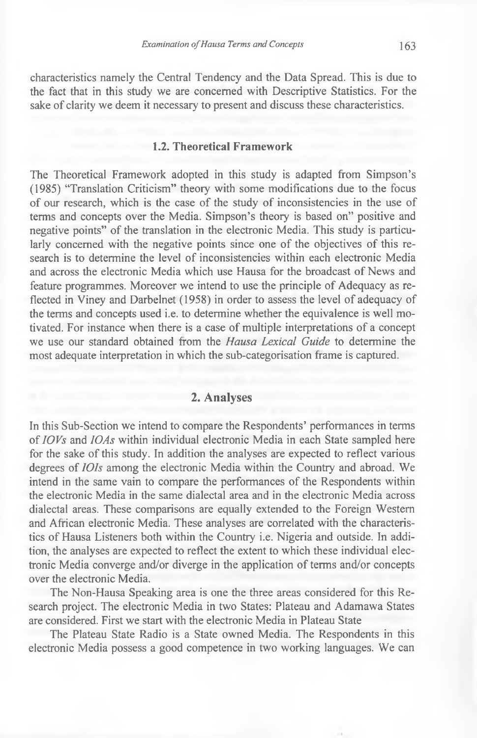characteristics namely the Central Tendency and the Data Spread. This is due to the fact that in this study we are concerned with Descriptive Statistics. For the sake of clarity we deem it necessary to present and discuss these characteristics.

#### **1.2. Theoretical Framework**

The Theoretical Framework adopted in this study is adapted from Simpson's (1985) "Translation Criticism" theory with some modifications due to the focus of our research, which is the case of the study of inconsistencies in the use of terms and concepts over the Media. Simpson's theory is based on" positive and negative points" of the translation in the electronic Media. This study is particularly concerned with the negative points since one of the objectives of this research is to determine the level of inconsistencies within each electronic Media and across the electronic Media which use Hausa for the broadcast of News and feature programmes. Moreover we intend to use the principle of Adequacy as reflected in Viney and Darbelnet (1958) in order to assess the level of adequacy of the terms and concepts used i.e. to determine whether the equivalence is well motivated. For instance when there is a case of multiple interpretations of a concept we use our standard obtained from the *Hausa Lexical Guide* to determine the most adequate interpretation in which the sub-categorisation frame is captured.

## **2. Analyses**

In this Sub-Section we intend to compare the Respondents' performances in terms of *IOVs* and *10As* within individual electronic Media in each State sampled here for the sake of this study. In addition the analyses are expected to reflect various degrees of *IOIs* among the electronic Media within the Country and abroad. We intend in the same vain to compare the performances of the Respondents within the electronic Media in the same dialectal area and in the electronic Media across dialectal areas. These comparisons are equally extended to the Foreign Western and African electronic Media. These analyses are correlated with the characteristics of Hausa Listeners both within the Country i.e. Nigeria and outside. In addition, the analyses are expected to reflect the extent to which these individual electronic Media converge and/or diverge in the application of terms and/or concepts over the electronic Media.

The Non-Hausa Speaking area is one the three areas considered for this Research project. The electronic Media in two States: Plateau and Adamawa States are considered. First we start with the electronic Media in Plateau State

The Plateau State Radio is a State owned Media. The Respondents in this electronic Media possess a good competence in two working languages. We can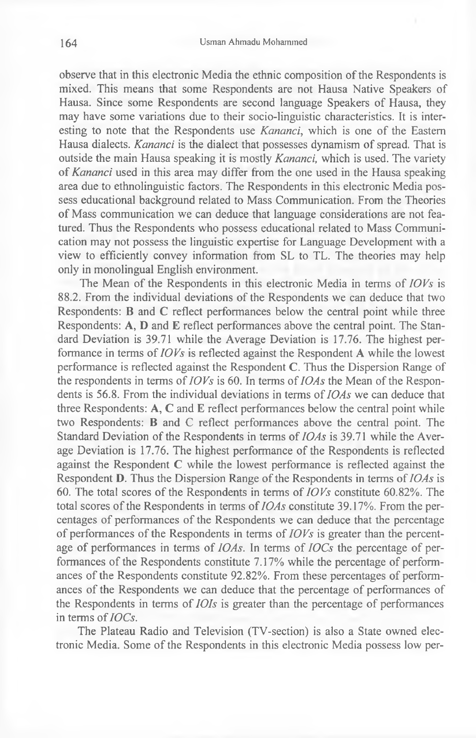observe that in this electronic Media the ethnic composition of the Respondents is mixed. This means that some Respondents are not Hausa Native Speakers of Hausa. Since some Respondents are second language Speakers of Hausa, they may have some variations due to their socio-linguistic characteristics. It is interesting to note that the Respondents use *Kananci,* which is one of the Eastern Hausa dialects. *Kananci* is the dialect that possesses dynamism of spread. That is outside the main Hausa speaking it is mostly *Kananci,* which is used. The variety of *Kananci* used in this area may differ from the one used in the Hausa speaking area due to ethnolinguistic factors. The Respondents in this electronic Media possess educational background related to Mass Communication. From the Theories of Mass communication we can deduce that language considerations are not featured. Thus the Respondents who possess educational related to Mass Communication may not possess the linguistic expertise for Language Development with a view to efficiently convey information from SL to TL. The theories may help only in monolingual English environment.

The Mean of the Respondents in this electronic Media in terms of *IOVs* is 88.2. From the individual deviations of the Respondents we can deduce that two Respondents: B and C reflect performances below the central point while three Respondents: A, D and E reflect performances above the central point. The Standard Deviation is 39.71 while the Average Deviation is 17.76. The highest performance in terms of *IOVs* is reflected against the Respondent A while the lowest performance is reflected against the Respondent C. Thus the Dispersion Range of the respondents in terms of *IOVs* is 60. In terms of *IOAs* the Mean of the Respondents is 56.8. From the individual deviations in terms of *IOAs* we can deduce that three Respondents: A, C and E reflect performances below the central point while two Respondents: B and C reflect performances above the central point. The Standard Deviation of the Respondents in terms of *IOAs* is 39.71 while the Average Deviation is 17.76. The highest performance of the Respondents is reflected against the Respondent C while the lowest performance is reflected against the Respondent D. Thus the Dispersion Range of the Respondents in terms of *IOAs* is 60. The total scores of the Respondents in terms of *IOVs* constitute 60.82%. The total scores of the Respondents in terms of *IOAs* constitute 39.17%. From the percentages of performances of the Respondents we can deduce that the percentage of performances of the Respondents in terms of *IOVs* is greater than the percentage of performances in terms of *IOAs.* In terms of *IOCs* the percentage of performances of the Respondents constitute 7.17% while the percentage of performances of the Respondents constitute 92.82%. From these percentages of performances of the Respondents we can deduce that the percentage of performances of the Respondents in terms of *IOIs* is greater than the percentage of performances in terms of *IOCs.*

The Plateau Radio and Television (TV-section) is also a State owned electronic Media. Some of the Respondents in this electronic Media possess low per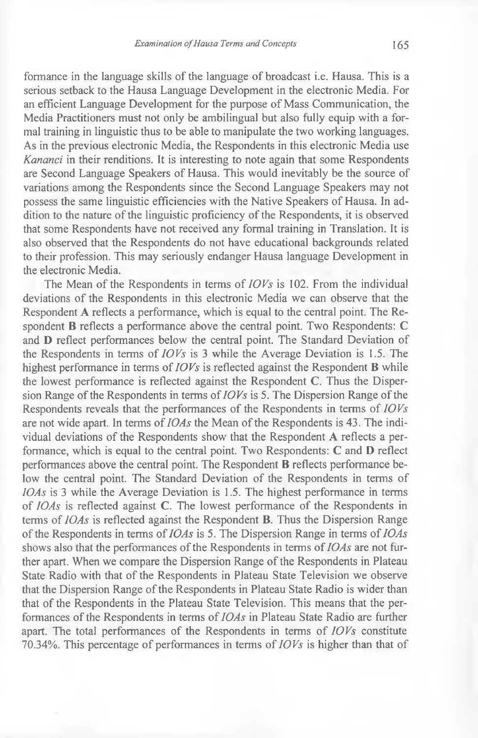formance in the language skills of the language of broadcast i.e. Hausa. This is a serious setback to the Hausa Language Development in the electronic Media. For an efficient Language Development for the purpose of Mass Communication, the Media Practitioners must not only be ambilingual but also fully equip with a formal training in linguistic thus to be able to manipulate the two working languages. As in the previous electronic Media, the Respondents in this electronic Media use *Kananci* in their renditions. It is interesting to note again that some Respondents are Second Language Speakers of Hausa. This would inevitably be the source of variations among the Respondents since the Second Language Speakers may not possess the same linguistic efficiencies with the Native Speakers of Hausa. In addition to the nature of the linguistic proficiency of the Respondents, it is observed that some Respondents have not received any formal training in Translation. It is also observed that the Respondents do not have educational backgrounds related to their profession. This may seriously endanger Hausa language Development in the electronic Media.

The Mean of the Respondents in terms of *IOVs* is 102. From the individual deviations of the Respondents in this electronic Media we can observe that the Respondent A reflects a performance, which is equal to the central point. The Respondent B reflects a performance above the central point. Two Respondents: C and D reflect performances below the central point. The Standard Deviation of the Respondents in terms of *IOVs* is 3 while the Average Deviation is 1.5. The highest performance in terms of *IOVs* is reflected against the Respondent B while the lowest performance is reflected against the Respondent C. Thus the Dispersion Range of the Respondents in terms of *IOVs* is 5. The Dispersion Range of the Respondents reveals that the performances of the Respondents in terms of *IOVs* are not wide apart. In terms of *IOAs* the Mean of the Respondents is 43. The individual deviations of the Respondents show that the Respondent A reflects a performance, which is equal to the central point. Two Respondents: C and D reflect performances above the central point. The Respondent **B** reflects performance below the central point. The Standard Deviation of the Respondents in terms of *IOAs* is 3 while the Average Deviation is 1.5. The highest performance in terms of *IOAs* is reflected against C. The lowest performance of the Respondents in terms of *IOAs* is reflected against the Respondent B. Thus the Dispersion Range of the Respondents in terms of *IOAs* is 5. The Dispersion Range in terms of *IOAs* shows also that the performances of the Respondents in terms of *IOAs* are not further apart. When we compare the Dispersion Range of the Respondents in Plateau State Radio with that of the Respondents in Plateau State Television we observe that the Dispersion Range of the Respondents in Plateau State Radio is wider than that of the Respondents in the Plateau State Television. This means that the performances of the Respondents in terms of *IOAs* in Plateau State Radio are further apart. The total performances of the Respondents in terms of *IOVs* constitute 70.34%. This percentage of performances in terms of *IOVs* is higher than that of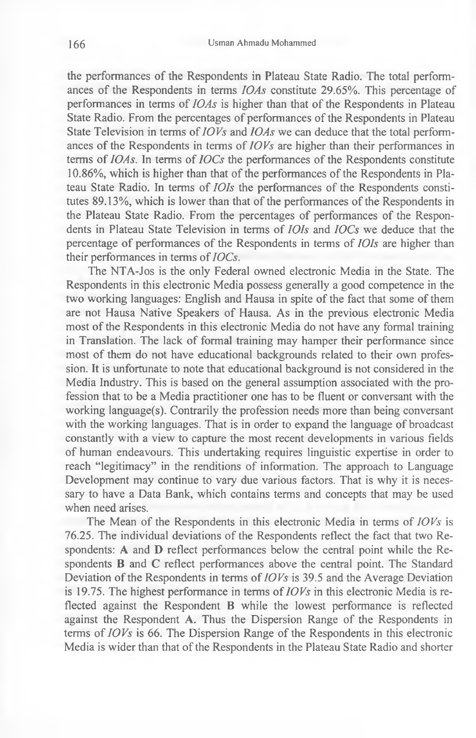the performances of the Respondents in Plateau State Radio. The total performances of the Respondents in terms *IOAs* constitute 29.65%. This percentage of performances in terms of *IOAs* is higher than that of the Respondents in Plateau State Radio. From the percentages of performances of the Respondents in Plateau State Television in terms of *IOVs* and *IOAs* we can deduce that the total performances of the Respondents in terms of *IOVs* are higher than their performances in terms of *IOAs.* In terms of *IOCs* the performances of the Respondents constitute 10.86%, which is higher than that of the performances of the Respondents in Plateau State Radio. In terms of *IOIs* the performances of the Respondents constitutes 89.13%, which is lower than that of the performances of the Respondents in the Plateau State Radio. From the percentages of performances of the Respondents in Plateau State Television in terms of *IOIs* and *IOCs* we deduce that the percentage of performances of the Respondents in terms of *IOIs* are higher than their performances in terms of *IOCs.*

The NTA-Jos is the only Federal owned electronic Media in the State. The Respondents in this electronic Media possess generally a good competence in the two working languages: English and Hausa in spite of the fact that some of them are not Hausa Native Speakers of Hausa. As in the previous electronic Media most of the Respondents in this electronic Media do not have any formal training in Translation. The lack of formal training may hamper their performance since most of them do not have educational backgrounds related to their own profession. It is unfortunate to note that educational background is not considered in the Media Industry. This is based on the general assumption associated with the profession that to be a Media practitioner one has to be fluent or conversant with the working language(s). Contrarily the profession needs more than being conversant with the working languages. That is in order to expand the language of broadcast constantly with a view to capture the most recent developments in various fields of human endeavours. This undertaking requires linguistic expertise in order to reach "legitimacy" in the renditions of information. The approach to Language Development may continue to vary due various factors. That is why it is necessary to have a Data Bank, which contains terms and concepts that may be used when need arises.

The Mean of the Respondents in this electronic Media in terms of *IOVs* is 76.25. The individual deviations of the Respondents reflect the fact that two Respondents: A and D reflect performances below the central point while the Respondents B and C reflect performances above the central point. The Standard Deviation of the Respondents in terms of *IOVs* is 39.5 and the Average Deviation is 19.75. The highest performance in terms of *IOVs* in this electronic Media is reflected against the Respondent B while the lowest performance is reflected against the Respondent A. Thus the Dispersion Range of the Respondents in terms of *IOVs* is 66. The Dispersion Range of the Respondents in this electronic Media is wider than that of the Respondents in the Plateau State Radio and shorter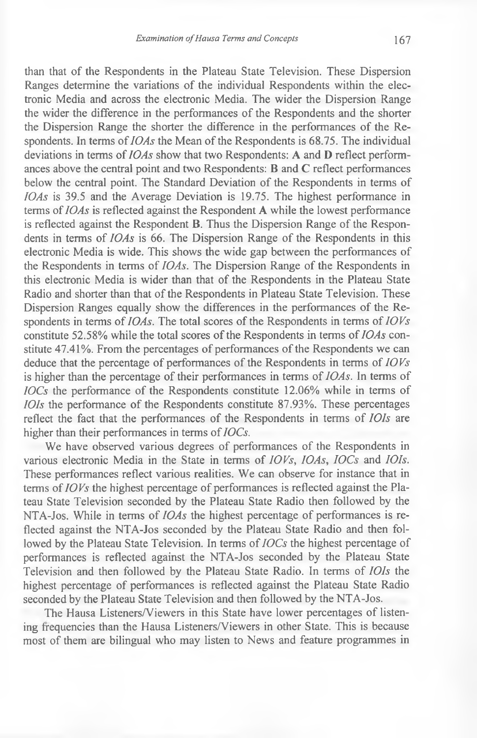than that of the Respondents in the Plateau State Television. These Dispersion Ranges determine the variations of the individual Respondents within the electronic Media and across the electronic Media. The wider the Dispersion Range the wider the difference in the performances of the Respondents and the shorter the Dispersion Range the shorter the difference in the performances of the Respondents. In terms of *IOAs* the Mean of the Respondents is 68.75. The individual deviations in terms of *IOAs* show that two Respondents: A and D reflect performances above the central point and two Respondents: B and C reflect performances below the central point. The Standard Deviation of the Respondents in terms of *IOAs* is 39.5 and the Average Deviation is 19.75. The highest performance in terms of *IOAs* is reflected against the Respondent A while the lowest performance is reflected against the Respondent B. Thus the Dispersion Range of the Respondents in terms of *IOAs* is 66. The Dispersion Range of the Respondents in this electronic Media is wide. This shows the wide gap between the performances of the Respondents in terms of *IOAs.* The Dispersion Range of the Respondents in this electronic Media is wider than that of the Respondents in the Plateau State Radio and shorter than that of the Respondents in Plateau State Television. These Dispersion Ranges equally show the differences in the performances of the Respondents in terms of *IOAs*. The total scores of the Respondents in terms of *IOVs* constitute 52.58% while the total scores of the Respondents in terms of *IOAs* constitute 47.41%. From the percentages of performances of the Respondents we can deduce that the percentage of performances of the Respondents in terms of *IOVs* is higher than the percentage of their performances in terms of *IOAs.* In terms of *IOCs* the performance of the Respondents constitute 12.06% while in terms of *IOIs* the performance of the Respondents constitute 87.93%. These percentages reflect the fact that the performances of the Respondents in terms of *IOIs* are higher than their performances in terms of *IOCs.*

We have observed various degrees of performances of the Respondents in various electronic Media in the State in terms of *IOVs, IOAs, IOCs* and *IOIs.* These performances reflect various realities. We can observe for instance that in terms of *IOVs* the highest percentage of performances is reflected against the Plateau State Television seconded by the Plateau State Radio then followed by the NTA-Jos. While in terms of *IOAs* the highest percentage of performances is reflected against the NTA-Jos seconded by the Plateau State Radio and then followed by the Plateau State Television. In terms of *IOCs* the highest percentage of performances is reflected against the NTA-Jos seconded by the Plateau State Television and then followed by the Plateau State Radio. In terms of *IOIs* the highest percentage of performances is reflected against the Plateau State Radio seconded by the Plateau State Television and then followed by the NTA-Jos.

The Hausa Listeners/Viewers in this State have lower percentages of listening frequencies than the Hausa Listeners/Viewers in other State. This is because most of them are bilingual who may listen to News and feature programmes in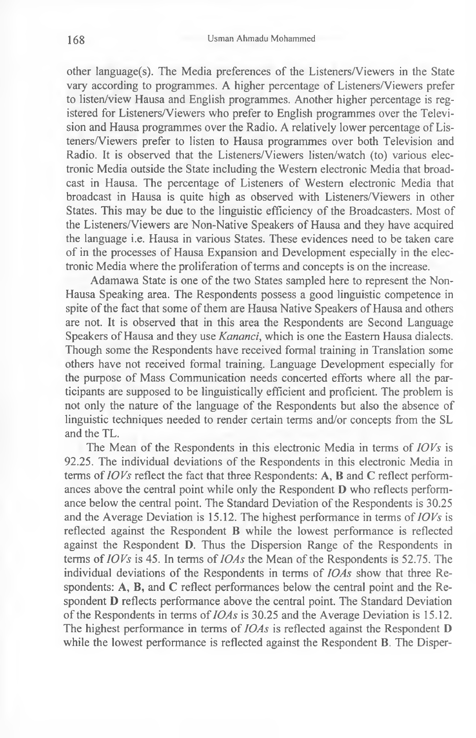other language(s). The Media preferences of the Listeners/Viewers in the State vary according to programmes. A higher percentage of Listeners/Viewers prefer to listen/view Hausa and English programmes. Another higher percentage is registered for Listeners/Viewers who prefer to English programmes over the Television and Hausa programmes over the Radio. A relatively lower percentage of Listeners/Viewers prefer to listen to Hausa programmes over both Television and Radio. It is observed that the Listeners/Viewers listen/watch (to) various electronic Media outside the State including the Western electronic Media that broadcast in Hausa. The percentage of Listeners of Western electronic Media that broadcast in Hausa is quite high as observed with Listeners/Viewers in other States. This may be due to the linguistic efficiency of the Broadcasters. Most of the Listeners/Viewers are Non-Native Speakers of Hausa and they have acquired the language i.e. Hausa in various States. These evidences need to be taken care of in the processes of Hausa Expansion and Development especially in the electronic Media where the proliferation of terms and concepts is on the increase.

Adamawa State is one of the two States sampled here to represent the Non-Hausa Speaking area. The Respondents possess a good linguistic competence in spite of the fact that some of them are Hausa Native Speakers of Hausa and others are not. It is observed that in this area the Respondents are Second Language Speakers of Hausa and they use *Kananci,* which is one the Eastern Hausa dialects. Though some the Respondents have received formal training in Translation some others have not received formal training. Language Development especially for the purpose of Mass Communication needs concerted efforts where all the participants are supposed to be linguistically efficient and proficient. The problem is not only the nature of the language of the Respondents but also the absence of linguistic techniques needed to render certain terms and/or concepts from the SL and the TL.

The Mean of the Respondents in this electronic Media in terms of *IOVs* is 92.25. The individual deviations of the Respondents in this electronic Media in terms of *IOVs* reflect the fact that three Respondents: A, B and C reflect performances above the central point while only the Respondent D who reflects performance below the central point. The Standard Deviation of the Respondents is 30.25 and the Average Deviation is 15.12. The highest performance in terms of *IOVs* is reflected against the Respondent B while the lowest performance is reflected against the Respondent D. Thus the Dispersion Range of the Respondents in terms of *IOVs* is 45. In terms of *10As* the Mean of the Respondents is 52.75. The individual deviations of the Respondents in terms of *IOAs* show that three Respondents: A, B, and C reflect performances below the central point and the Respondent D reflects performance above the central point. The Standard Deviation of the Respondents in terms of *IOAs* is 30.25 and the Average Deviation is 15.12. The highest performance in terms of *IOAs* is reflected against the Respondent D while the lowest performance is reflected against the Respondent B. The Disper-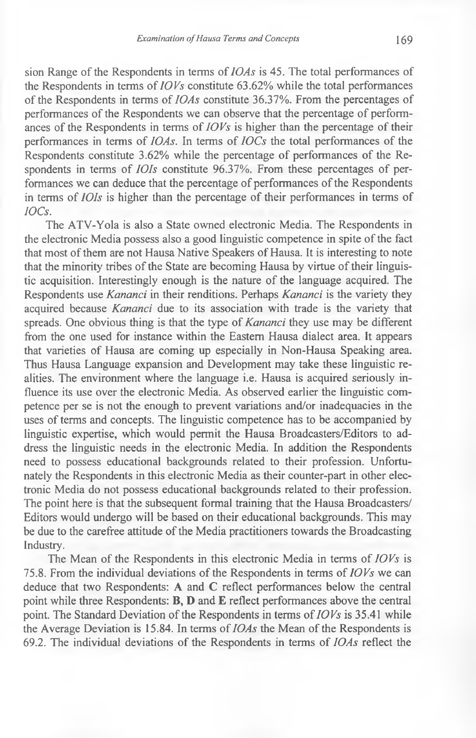sion Range of the Respondents in terms of *IOAs* is 45. The total performances of the Respondents in terms of *IOVs* constitute 63.62% while the total performances of the Respondents in terms of *IOAs* constitute 36.37%. From the percentages of performances of the Respondents we can observe that the percentage of performances of the Respondents in terms of *IO Vs* is higher than the percentage of their performances in terms of *IOAs.* In terms of *IOCs* the total performances of the Respondents constitute 3.62% while the percentage of performances of the Respondents in terms of *IOIs* constitute 96.37%. From these percentages of performances we can deduce that the percentage of performances of the Respondents in terms of *IOIs* is higher than the percentage of their performances in terms of *IOCs.*

The ATV-Yola is also a State owned electronic Media. The Respondents in the electronic Media possess also a good linguistic competence in spite of the fact that most of them are not Hausa Native Speakers of Hausa. It is interesting to note that the minority tribes of the State are becoming Hausa by virtue of their linguistic acquisition. Interestingly enough is the nature of the language acquired. The Respondents use *Kananci* in their renditions. Perhaps *Kananci* is the variety they acquired because *Kananci* due to its association with trade is the variety that spreads. One obvious thing is that the type of *Kananci* they use may be different from the one used for instance within the Eastern Hausa dialect area. It appears that varieties of Hausa are coming up especially in Non-Hausa Speaking area. Thus Hausa Language expansion and Development may take these linguistic realities. The environment where the language i.e. Hausa is acquired seriously influence its use over the electronic Media. As observed earlier the linguistic competence per se is not the enough to prevent variations and/or inadequacies in the uses of terms and concepts. The linguistic competence has to be accompanied by linguistic expertise, which would permit the Hausa Broadcasters/Editors to address the linguistic needs in the electronic Media. In addition the Respondents need to possess educational backgrounds related to their profession. Unfortunately the Respondents in this electronic Media as their counter-part in other electronic Media do not possess educational backgrounds related to their profession. The point here is that the subsequent formal training that the Hausa Broadcasters/ Editors would undergo will be based on their educational backgrounds. This may be due to the carefree attitude of the Media practitioners towards the Broadcasting Industry.

The Mean of the Respondents in this electronic Media in terms of *IOVs* is 75.8. From the individual deviations of the Respondents in terms of *IOVs* we can deduce that two Respondents: A and C reflect performances below the central point while three Respondents: B, D and E reflect performances above the central point. The Standard Deviation of the Respondents in terms of *IOVs* is 35.41 while the Average Deviation is 15.84. In terms of *IOAs* the Mean of the Respondents is 69.2. The individual deviations of the Respondents in terms of *IOAs* reflect the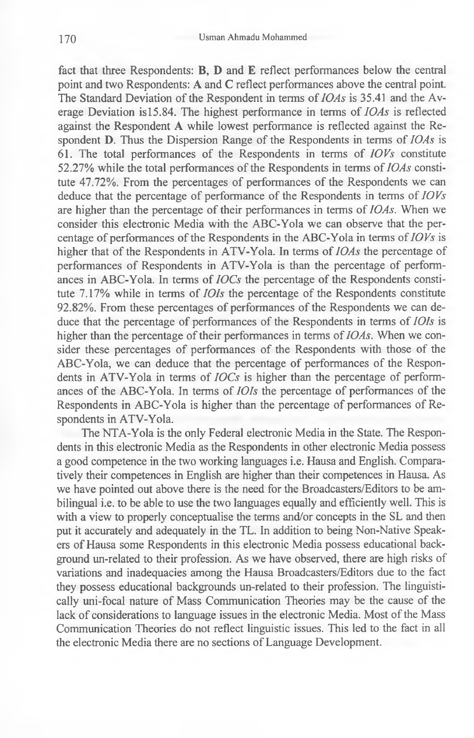fact that three Respondents: B, D and E reflect performances below the central point and two Respondents: A and C reflect performances above the central point. The Standard Deviation of the Respondent in terms of *IOAs* is 35.41 and the Average Deviation is 15.84. The highest performance in terms of *IOAs* is reflected against the Respondent A while lowest performance is reflected against the Respondent D. Thus the Dispersion Range of the Respondents in terms of *IOAs* is 61. The total performances of the Respondents in terms of *IOVs* constitute 52.27% while the total performances of the Respondents in terms of *IOAs* constitute 47.72%. From the percentages of performances of the Respondents we can deduce that the percentage of performance of the Respondents in terms of *IOVs* are higher than the percentage of their performances in terms of *IOAs.* When we consider this electronic Media with the ABC-Yola we can observe that the percentage of performances of the Respondents in the ABC-Yola in terms of *IOVs* is higher that of the Respondents in ATV-Yola. In terms of *IOAs* the percentage of performances of Respondents in ATV-Yola is than the percentage of performances in ABC-Yola. In terms of *IOCs* the percentage of the Respondents constitute 7.17% while in terms of *IOIs* the percentage of the Respondents constitute 92.82%. From these percentages of performances of the Respondents we can deduce that the percentage of performances of the Respondents in terms of *IOIs* is higher than the percentage of their performances in terms of *IOAs.* When we consider these percentages of performances of the Respondents with those of the ABC-Yola, we can deduce that the percentage of performances of the Respondents in ATV-Yola in terms of *IOCs* is higher than the percentage of performances of the ABC-Yola. In terms of *IOIs* the percentage of performances of the Respondents in ABC-Yola is higher than the percentage of performances of Respondents in ATV-Yola.

The NTA-Yola is the only Federal electronic Media in the State. The Respondents in this electronic Media as the Respondents in other electronic Media possess a good competence in the two working languages i.e. Hausa and English. Comparatively their competences in English are higher than their competences in Hausa. As we have pointed out above there is the need for the Broadcasters/Editors to be ambilingual i.e. to be able to use the two languages equally and efficiently well. This is with a view to properly conceptualise the terms and/or concepts in the SL and then put it accurately and adequately in the TL. In addition to being Non-Native Speakers of Hausa some Respondents in this electronic Media possess educational background un-related to their profession. As we have observed, there are high risks of variations and inadequacies among the Hausa Broadcasters/Editors due to the fact they possess educational backgrounds un-related to their profession. The linguistically uni-focal nature of Mass Communication Theories may be the cause of the lack of considerations to language issues in the electronic Media. Most of the Mass Communication Theories do not reflect linguistic issues. This led to the fact in all the electronic Media there are no sections of Language Development.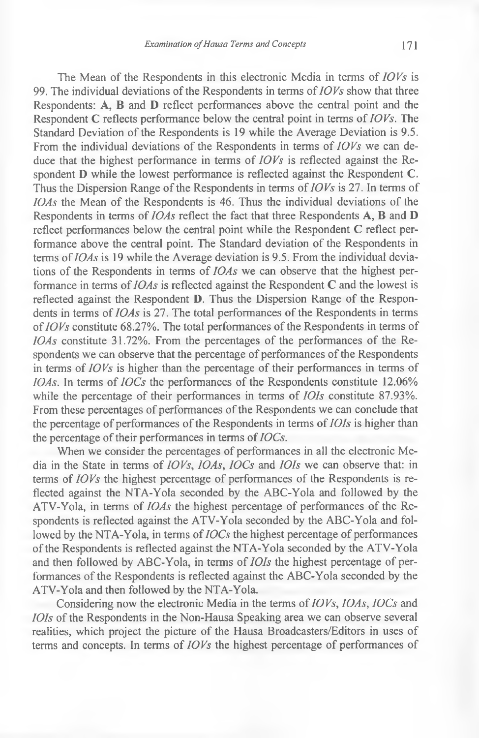The Mean of the Respondents in this electronic Media in terms of *IOVs* is 99. The individual deviations of the Respondents in terms of *IOVs* show that three Respondents: A, B and D reflect performances above the central point and the Respondent C reflects performance below the central point in terms of *IOVs.* The Standard Deviation of the Respondents is 19 while the Average Deviation is 9.5. From the individual deviations of the Respondents in terms of *IOVs* we can deduce that the highest performance in terms of *IOVs* is reflected against the Respondent D while the lowest performance is reflected against the Respondent C. Thus the Dispersion Range of the Respondents in terms of *IOVs* is 27. In terms of *IOAs* the Mean of the Respondents is 46. Thus the individual deviations of the Respondents in terms of *IOAs* reflect the fact that three Respondents A, B and D reflect performances below the central point while the Respondent C reflect performance above the central point. The Standard deviation of the Respondents in terms of *IOAs* is 19 while the Average deviation is 9.5. From the individual deviations of the Respondents in terms of *IOAs* we can observe that the highest performance in terms of *IOAs* is reflected against the Respondent C and the lowest is reflected against the Respondent D. Thus the Dispersion Range of the Respondents in terms of *IOAs* is 27. The total performances of the Respondents in terms of *IOVs* constitute 68.27%. The total performances of the Respondents in terms of *IOAs* constitute 31.72%. From the percentages of the performances of the Respondents we can observe that the percentage of performances of the Respondents in terms of *IOVs* is higher than the percentage of their performances in terms of *IOAs.* In terms of *IOCs* the performances of the Respondents constitute 12.06% while the percentage of their performances in terms of *IOIs* constitute 87.93%. From these percentages of performances of the Respondents we can conclude that the percentage of performances of the Respondents in terms of *IOIs* is higher than the percentage of their performances in terms of *IOCs.*

When we consider the percentages of performances in all the electronic Media in the State in terms of *IOVs, IOAs, IOCs* and *IOIs* we can observe that: in terms of *IOVs* the highest percentage of performances of the Respondents is reflected against the NTA-Yola seconded by the ABC-Yola and followed by the ATV-Yola, in terms of *IOAs* the highest percentage of performances of the Respondents is reflected against the ATV-Yola seconded by the ABC-Yola and followed by the NTA-Yola, in terms of *IOCs* the highest percentage of performances of the Respondents is reflected against the NTA-Yola seconded by the ATV-Yola and then followed by ABC-Yola, in terms of *IOIs* the highest percentage of performances of the Respondents is reflected against the ABC-Yola seconded by the ATV-Yola and then followed by the NTA-Yola.

Considering now the electronic Media in the terms of *IOVs, IOAs, IOCs* and *IOIs* of the Respondents in the Non-Hausa Speaking area we can observe several realities, which project the picture of the Hausa Broadcasters/Editors in uses of terms and concepts. In terms of *IOVs* the highest percentage of performances of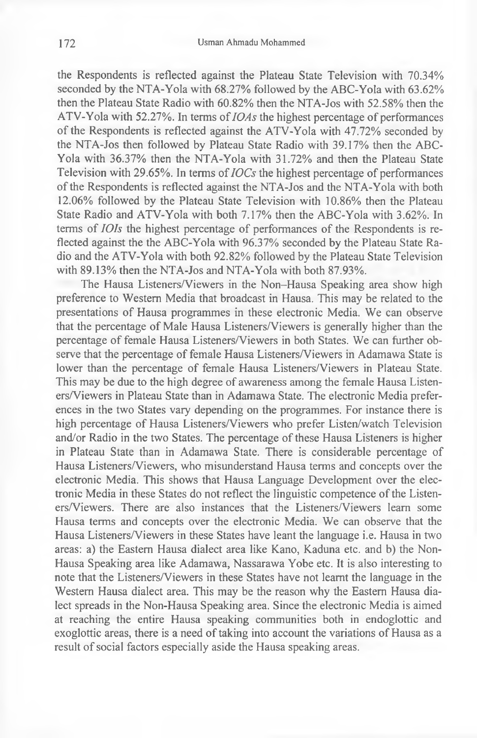the Respondents is reflected against the Plateau State Television with 70.34% seconded by the NTA-Yola with 68.27% followed by the ABC-Yola with 63.62% then the Plateau State Radio with 60.82% then the NTA-Jos with 52.58% then the ATV-Yola with 52.27%. In terms of *IOAs* the highest percentage of performances of the Respondents is reflected against the ATV-Yola with 47.72% seconded by the NTA-Jos then followed by Plateau State Radio with 39.17% then the ABC-Yola with 36.37% then the NTA-Yola with 31.72% and then the Plateau State Television with 29.65%. In terms of *IOCs* the highest percentage of performances of the Respondents is reflected against the NTA-Jos and the NTA-Yola with both 12.06% followed by the Plateau State Television with 10.86% then the Plateau State Radio and ATV-Yola with both 7.17% then the ABC-Yola with 3.62%. In terms of *101s* the highest percentage of performances of the Respondents is reflected against the the ABC-Yola with 96.37% seconded by the Plateau State Radio and the ATV-Yola with both 92.82% followed by the Plateau State Television with 89.13% then the NTA-Jos and NTA-Yola with both 87.93%.

The Hausa Listeners/Viewers in the Non-Hausa Speaking area show high preference to Western Media that broadcast in Hausa. This may be related to the presentations of Hausa programmes in these electronic Media. We can observe that the percentage of Male Hausa Listeners/Viewers is generally higher than the percentage of female Hausa Listeners/Viewers in both States. We can further observe that the percentage of female Hausa Listeners/Viewers in Adamawa State is lower than the percentage of female Hausa Listeners/Viewers in Plateau State. This may be due to the high degree of awareness among the female Hausa Listeners/Viewers in Plateau State than in Adamawa State. The electronic Media preferences in the two States vary depending on the programmes. For instance there is high percentage of Hausa Listeners/Viewers who prefer Listen/watch Television and/or Radio in the two States. The percentage of these Hausa Listeners is higher in Plateau State than in Adamawa State. There is considerable percentage of Hausa Listeners/Viewers, who misunderstand Hausa terms and concepts over the electronic Media. This shows that Hausa Language Development over the electronic Media in these States do not reflect the linguistic competence of the Listeners/Viewers. There are also instances that the Listeners/Viewers learn some Hausa terms and concepts over the electronic Media. We can observe that the Hausa Listeners/Viewers in these States have leant the language i.e. Hausa in two areas: a) the Eastern Hausa dialect area like Kano, Kaduna etc. and b) the Non-Hausa Speaking area like Adamawa, Nassarawa Yobe etc. It is also interesting to note that the Listeners/Viewers in these States have not learnt the language in the Western Hausa dialect area. This may be the reason why the Eastern Hausa dialect spreads in the Non-Hausa Speaking area. Since the electronic Media is aimed at reaching the entire Hausa speaking communities both in endoglottic and exoglottic areas, there is a need of taking into account the variations of Hausa as a result of social factors especially aside the Hausa speaking areas.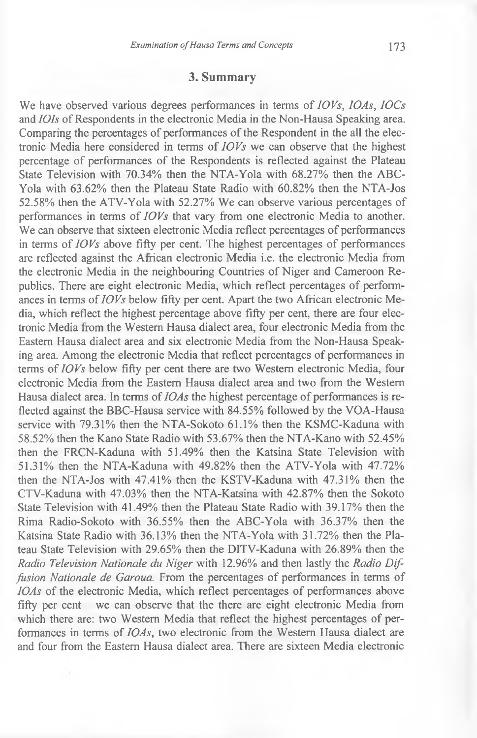#### **3. Summary**

We have observed various degrees performances in terms of *IO Vs, 10As, IOCs* and *IOIs* of Respondents in the electronic Media in the Non-Hausa Speaking area. Comparing the percentages of performances of the Respondent in the all the electronic Media here considered in terms of *IOVs* we can observe that the highest percentage of performances of the Respondents is reflected against the Plateau State Television with 70.34% then the NTA-Yola with 68.27% then the ABC-Yola with 63.62% then the Plateau State Radio with 60.82% then the NTA-Jos 52.58% then the ATV-Yola with 52.27% We can observe various percentages of performances in terms of *IOVs* that vary from one electronic Media to another. We can observe that sixteen electronic Media reflect percentages of performances in terms of *IOVs* above fifty per cent. The highest percentages of performances are reflected against the African electronic Media i.e. the electronic Media from the electronic Media in the neighbouring Countries of Niger and Cameroon Republics. There are eight electronic Media, which reflect percentages of performances in terms of *IOVs* below fifty per cent. Apart the two African electronic Media, which reflect the highest percentage above fifty per cent, there are four electronic Media from the Western Hausa dialect area, four electronic Media from the Eastern Hausa dialect area and six electronic Media from the Non-Hausa Speaking area. Among the electronic Media that reflect percentages of performances in terms of *IOVs* below fifty per cent there are two Western electronic Media, four electronic Media from the Eastern Hausa dialect area and two from the Western Hausa dialect area. In terms of *IOAs* the highest percentage of performances is reflected against the BBC-Hausa service with 84.55% followed by the VOA-Hausa service with 79.31% then the NTA-Sokoto 61.1% then the KSMC-Kaduna with 58.52% then the Kano State Radio with 53.67% then the NTA-Kano with 52.45% then the FRCN-Kaduna with 51.49% then the Katsina State Television with 51.31% then the NTA-Kaduna with 49.82% then the ATV-Yola with 47.72% then the NTA-Jos with 47.41% then the KSTV-Kaduna with 47.31% then the CTV-Kaduna with 47.03% then the NTA-Katsina with 42.87% then the Sokoto State Television with 41.49% then the Plateau State Radio with 39.17% then the Rima Radio-Sokoto with 36.55% then the ABC-Yola with 36.37% then the Katsina State Radio with 36.13% then the NTA-Yola with 31.72% then the Plateau State Television with 29.65% then the DITV-Kaduna with 26.89% then the *Radio Television Nationale du Niger* with 12.96% and then lastly the *Radio Diffusion Nationale de Garoua.* From the percentages of performances in terms of *IOAs* of the electronic Media, which reflect percentages of performances above fifty per cent we can observe that the there are eight electronic Media from which there are: two Western Media that reflect the highest percentages of performances in terms of *IOAs,* two electronic from the Western Hausa dialect are and four from the Eastern Hausa dialect area. There are sixteen Media electronic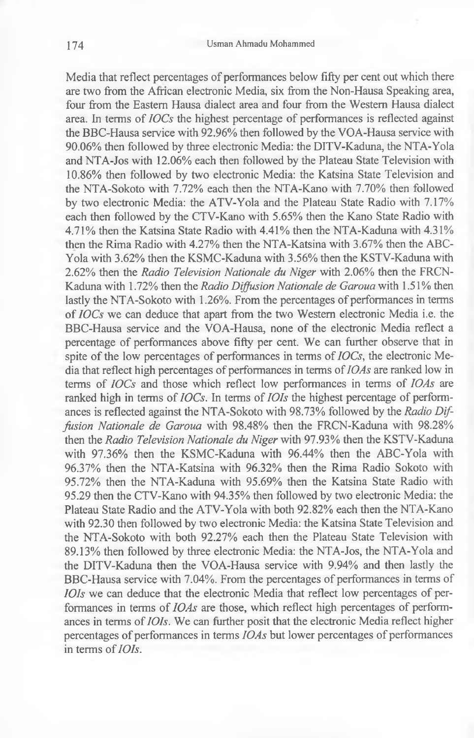Media that reflect percentages of performances below fifty per cent out which there are two from the African electronic Media, six from the Non-Hausa Speaking area, four from the Eastern Hausa dialect area and four from the Western Hausa dialect area. In terms of *IOCs* the highest percentage of performances is reflected against the BBC-Hausa service with 92.96% then followed by the VOA-Hausa service with 90.06% then followed by three electronic Media: the DITV-Kaduna, the NTA-Yola and NTA-Jos with 12.06% each then followed by the Plateau State Television with 10.86% then followed by two electronic Media: the Katsina State Television and the NTA-Sokoto with 7.72% each then the NTA-Kano with 7.70% then followed by two electronic Media: the ATV-Yola and the Plateau State Radio with 7.17% each then followed by the CTV-Kano with 5.65% then the Kano State Radio with 4.71% then the Katsina State Radio with 4.41% then the NTA-Kaduna with 4.31% then the Rima Radio with 4.27% then the NTA-Katsina with 3.67% then the ABC-Yola with 3.62% then the KSMC-Kaduna with 3.56% then the KSTV-Kaduna with 2.62% then the *Radio Television Nationale du Niger* with 2.06% then the FRCN-Kaduna with 1.72% then the *Radio Diffusion Nationale de Garoua* with 1.51% then lastly the NTA-Sokoto with 1.26%. From the percentages of performances in terms of *IOCs* we can deduce that apart from the two Western electronic Media i.e. the BBC-Hausa service and the VOA-Hausa, none of the electronic Media reflect a percentage of performances above fifty per cent. We can further observe that in spite of the low percentages of performances in terms of *IOCs,* the electronic Media that reflect high percentages of performances in terms of *10As* are ranked low in terms of *IOCs* and those which reflect low performances in terms of *IOAs* are ranked high in terms of *IOCs.* In terms of *IOIs* the highest percentage of performances is reflected against the NTA-Sokoto with 98.73% followed by the *Radio Diffusion Nationale de Garoua* with 98.48% then the FRCN-Kaduna with 98.28% then the *Radio Television Nationale du Niger* with 97.93% then the KSTV-Kaduna with 97.36% then the KSMC-Kaduna with 96.44% then the ABC-Yola with 96.37% then the NTA-Katsina with 96.32% then the Rima Radio Sokoto with 95.72% then the NTA-Kaduna with 95.69% then the Katsina State Radio with 95.29 then the CTV-Kano with 94.35% then followed by two electronic Media: the Plateau State Radio and the ATV-Yola with both 92.82% each then the NTA-Kano with 92.30 then followed by two electronic Media: the Katsina State Television and the NTA-Sokoto with both 92.27% each then the Plateau State Television with 89.13% then followed by three electronic Media: the NTA-Jos, the NTA-Yola and the DITV-Kaduna then the VOA-Hausa service with 9.94% and then lastly the BBC-Hausa service with 7.04%. From the percentages of performances in terms of *IOIs* we can deduce that the electronic Media that reflect low percentages of performances in terms of *IOAs* are those, which reflect high percentages of performances in terms of *IOIs.* We can further posit that the electronic Media reflect higher percentages of performances in terms *IOAs* but lower percentages of performances in terms of *IOIs.*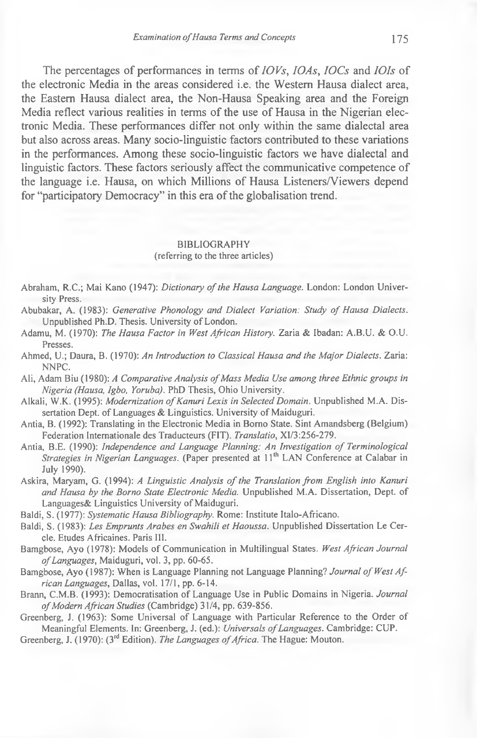The percentages of performances in terms of *IOVs, IOAs, IOCs* and *IOIs* of the electronic Media in the areas considered i.e. the Western Hausa dialect area, the Eastern Hausa dialect area, the Non-Hausa Speaking area and the Foreign Media reflect various realities in terms of the use of Hausa in the Nigerian electronic Media. These performances differ not only within the same dialectal area but also across areas. Many socio-linguistic factors contributed to these variations in the performances. Among these socio-linguistic factors we have dialectal and linguistic factors. These factors seriously affect the communicative competence of the language i.e. Hausa, on which Millions of Hausa Listeners/Viewers depend for "participatory Democracy" in this era of the globalisation trend.

#### BIBLIOGRAPHY (referring to the three articles)

- Abraham, R.C.; Mai Kano (1947): *Dictionary of the Hausa Language*. London: London University Press.
- Abubakar, A. (1983): *Generative Phonology and Dialect Variation: Study of Hausa Dialects.* Unpublished Ph.D. Thesis. University of London.
- Adamu, M. (1970): *The Hausa Factor in West African History.* Zaria & Ibadan: A.B.U. & O.U. Presses.
- Ahmed, U.; Daura, B. (1970): *An Introduction to Classical Hausa and the Major Dialects.* Zaria: NNPC.
- Ali, Adam Biu (1980): *A Comparative Analysis of Mass Media Use among three Ethnic groups in Nigeria (Hausa, Igbo, Yoruba).* PhD Thesis, Ohio University.
- Alkali, W.K. (1995): *Modernization of Kanuri Lexis in Selected Domain*. Unpublished M.A. Dissertation Dept. of Languages  $\&$  Linguistics. University of Maiduguri.
- Antia, B. (1992): Translating in the Electronic Media in Borno State. Sint Amandsberg (Belgium) Federation Internationale des Traducteurs (FIT). *Translatio,* XI/3:256-279.
- Antia, B.E. (1990): *Independence and Language Planning: An Investigation of Terminological Strategies in Nigerian Languages.* (Paper presented at 11<sup>th</sup> LAN Conference at Calabar in July 1990).
- Askira, Maryam, G. (1994): *A Linguistic Analysis of the Translation from English into Kanuri and Hausa by the Borno State Electronic Media.* Unpublished M.A. Dissertation, Dept, of Languages& Linguistics University of Maiduguri.
- Baldi, S. (1977): *Systematic Hausa Bibliography.* Rome: Institute Italo-Africano.
- Baldi, S. (1983): *Les Emprunts Arabes en Swahili et Haoussa.* Unpublished Dissertation Le Cercle. Etudes Africaines. Paris III.
- Bamgbose, Ayo (1978): Models of Communication in Multilingual States. West African Journal *o f Languages,* Maiduguri, vol. 3, pp. 60-65.
- Bamgbose, Ayo (1987): When is Language Planning not Language Planning? Journal of West Af*rican Languages,* Dallas, vol. 17/1, pp. 6-14.
- Brann, C.M.B. (1993): Democratisation of Language Use in Public Domains in Nigeria. *Journal* of Modern African Studies (Cambridge) 31/4, pp. 639-856.
- Greenberg, J. (1963): Some Universal of Language with Particular Reference to the Order of Meaningful Elements. In: Greenberg, J. (ed.): *Universals of Languages*. Cambridge: CUP.
- Greenberg, J. (1970): (3<sup>rd</sup> Edition). *The Languages of Africa*. The Hague: Mouton.